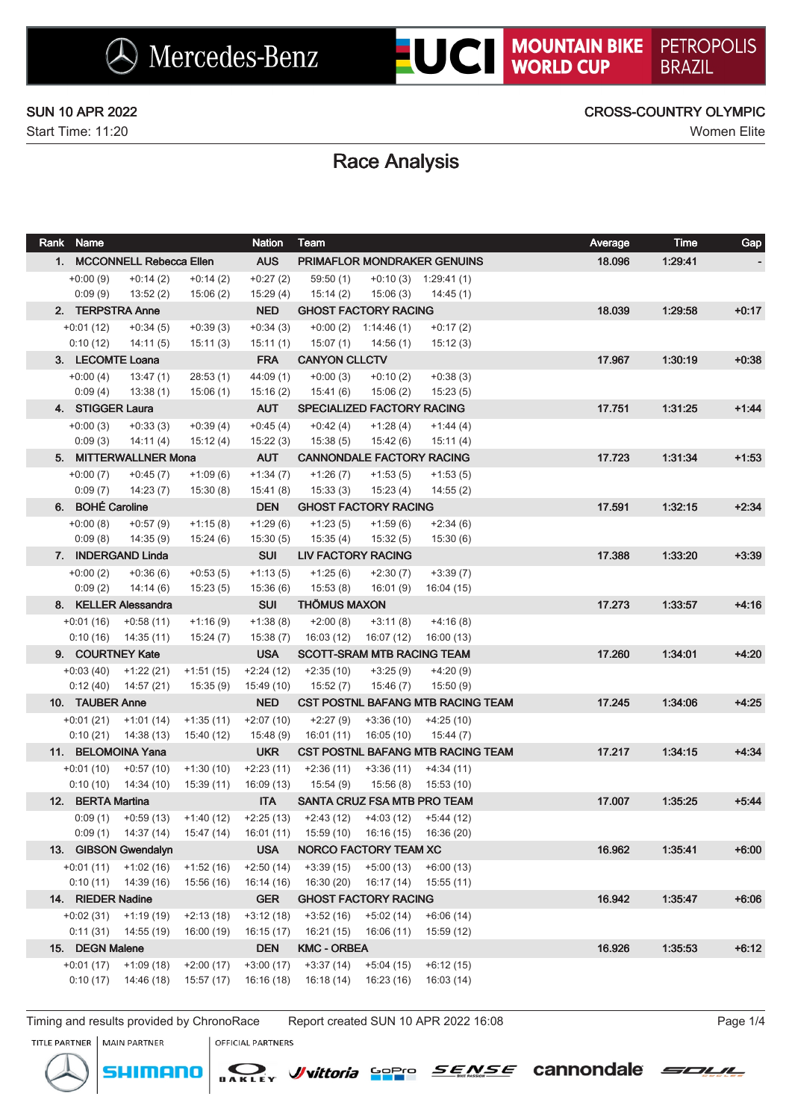### SUN 10 APR 2022 CROSS-COUNTRY OLYMPIC

# Race Analysis

| Rank Name<br><b>Nation</b>  |                                     |             |                        | Team                                     |                                     |                                                |        | <b>Time</b><br>Average | Gap     |
|-----------------------------|-------------------------------------|-------------|------------------------|------------------------------------------|-------------------------------------|------------------------------------------------|--------|------------------------|---------|
|                             | 1. MCCONNELL Rebecca Ellen          |             | <b>AUS</b>             |                                          |                                     | PRIMAFLOR MONDRAKER GENUINS                    | 18.096 | 1:29:41                |         |
| $+0.00(9)$                  | $+0:14(2)$                          | $+0:14(2)$  | $+0:27(2)$             | 59:50(1)                                 |                                     | $+0:10(3)$ 1:29:41(1)                          |        |                        |         |
| 0:09(9)                     | 13:52(2)                            | 15:06(2)    | 15:29(4)               | 15:14 (2)                                | 15:06 (3)                           | 14:45 (1)                                      |        |                        |         |
|                             | 2. TERPSTRA Anne                    |             | <b>NED</b>             | <b>GHOST FACTORY RACING</b>              |                                     |                                                | 18.039 | 1:29:58                | $+0:17$ |
| $+0:01(12)$                 | $+0:34(5)$                          | $+0.39(3)$  | $+0:34(3)$             |                                          | $+0:00(2)$ 1:14:46(1)               | $+0:17(2)$                                     |        |                        |         |
| 0:10(12)                    | 14:11(5)                            | 15:11(3)    | 15:11(1)               | 15:07 (1)                                | 14:56 (1)                           | 15:12(3)                                       |        |                        |         |
|                             | 3. LECOMTE Loana                    |             | <b>FRA</b>             | <b>CANYON CLLCTV</b>                     |                                     |                                                | 17.967 | 1:30:19                | $+0.38$ |
| $+0.00(4)$                  | 13:47(1)                            | 28:53(1)    | 44:09(1)               | $+0:00(3)$                               | $+0:10(2)$                          | $+0:38(3)$                                     |        |                        |         |
| 0:09(4)<br>4. STIGGER Laura | 13:38(1)                            | 15:06(1)    | 15:16(2)<br><b>AUT</b> | 15:41 (6)                                | 15:06(2)                            | 15:23(5)                                       |        | 1.31.25                | $+1:44$ |
| $+0:00(3)$                  | $+0:33(3)$                          | $+0.39(4)$  | $+0:45(4)$             | SPECIALIZED FACTORY RACING<br>$+0:42(4)$ | $+1:28(4)$                          | $+1:44(4)$                                     | 17.751 |                        |         |
| 0:09(3)                     | 14:11(4)                            | 15:12 (4)   | 15:22(3)               | 15:38 (5)                                | 15:42 (6)                           | 15:11(4)                                       |        |                        |         |
|                             | 5. MITTERWALLNER Mona               |             | <b>AUT</b>             | <b>CANNONDALE FACTORY RACING</b>         |                                     |                                                | 17.723 | 1.31.34                | $+1:53$ |
| $+0:00(7)$                  | $+0:45(7)$                          | $+1:09(6)$  | $+1:34(7)$             | $+1:26(7)$                               | $+1:53(5)$                          | $+1:53(5)$                                     |        |                        |         |
| 0:09(7)                     | 14:23 (7)                           | 15:30(8)    | 15:41(8)               | 15:33(3)                                 | 15:23 (4)                           | 14:55(2)                                       |        |                        |         |
| 6. BOHÉ Caroline            |                                     |             | <b>DEN</b>             | <b>GHOST FACTORY RACING</b>              |                                     |                                                | 17.591 | 1:32:15                | $+2:34$ |
| $+0:00(8)$                  | $+0:57(9)$                          | $+1:15(8)$  | $+1:29(6)$             | $+1:23(5)$                               | $+1:59(6)$                          | $+2:34(6)$                                     |        |                        |         |
| 0:09(8)                     | 14:35 (9)                           | 15:24(6)    | 15:30(5)               | 15:35 (4)                                | 15:32(5)                            | 15:30(6)                                       |        |                        |         |
|                             | 7. INDERGAND Linda                  |             | <b>SUI</b>             | <b>LIV FACTORY RACING</b>                |                                     |                                                | 17.388 | 1:33:20                | $+3:39$ |
| $+0:00(2)$                  | $+0.36(6)$                          | $+0.53(5)$  | $+1:13(5)$             | $+1:25(6)$                               | $+2:30(7)$                          | $+3:39(7)$                                     |        |                        |         |
| 0:09(2)                     | 14:14(6)                            | 15:23(5)    | 15:36(6)               | 15:53(8)                                 | 16:01 (9)                           | 16:04 (15)                                     |        |                        |         |
|                             | 8. KELLER Alessandra                |             | <b>SUI</b>             | <b>THÖMUS MAXON</b>                      |                                     |                                                | 17.273 | 1:33:57                | $+4:16$ |
| +0:01 (16)                  | +0:58 (11)                          | $+1:16(9)$  | $+1:38(8)$             | $+2:00(8)$                               | $+3:11(8)$                          | $+4:16(8)$                                     |        |                        |         |
| 0:10(16)                    | 14:35 (11)                          | 15:24(7)    | 15:38(7)               | 16:03 (12)                               | 16:07 (12)                          | 16:00 (13)                                     |        |                        |         |
|                             | 9. COURTNEY Kate                    |             | <b>USA</b>             | <b>SCOTT-SRAM MTB RACING TEAM</b>        |                                     |                                                | 17.260 | 1:34:01                | $+4:20$ |
|                             | $+0.03(40)$ $+1.22(21)$             | $+1:51(15)$ | $+2:24(12)$            | $+2:35(10)$                              | $+3:25(9)$                          | $+4:20(9)$                                     |        |                        |         |
| 0:12(40)                    | 14:57 (21)                          | 15:35(9)    | 15:49 (10)             | 15:52 (7)                                | 15:46 (7)                           | 15:50 (9)                                      |        |                        |         |
| 10. TAUBER Anne             |                                     |             | <b>NED</b>             | CST POSTNL BAFANG MTB RACING TEAM        |                                     |                                                | 17.245 | 1:34:06                | $+4:25$ |
| +0:01 (21)                  | +1:01 (14)<br>$0:10(21)$ 14:38 (13) | $+1:35(11)$ | $+2:07(10)$            | $+2:27(9)$                               | $+3:36(10)$                         | $+4:25(10)$                                    |        |                        |         |
|                             | 11. BELOMOINA Yana                  | 15:40 (12)  | 15:48(9)<br><b>UKR</b> | 16:01 (11)                               | 16:05 (10)                          | 15:44 (7)<br>CST POSTNL BAFANG MTB RACING TEAM | 17.217 | 1:34:15                | $+4.34$ |
| $+0:01(10)$                 | $+0:57(10)$                         | $+1:30(10)$ | $+2:23(11)$            | $+2:36(11)$                              | $+3:36(11)$                         | $+4:34(11)$                                    |        |                        |         |
|                             | $0:10(10)$ 14:34 (10)               | 15:39 (11)  | 16:09 (13)             | 15:54 (9)                                | 15:56 (8)                           | 15:53 (10)                                     |        |                        |         |
| 12. BERTA Martina           |                                     |             | <b>ITA</b>             | SANTA CRUZ FSA MTB PRO TEAM              |                                     |                                                | 17.007 | 1:35:25                | $+5.44$ |
|                             | $0:09(1)$ + $0:59(13)$ + $1:40(12)$ |             |                        | $+2:25(13)$ $+2:43(12)$ $+4:03(12)$      |                                     | +5:44 (12)                                     |        |                        |         |
|                             | $0:09(1)$ 14:37 (14)                | 15:47 (14)  | 16:01 (11)             |                                          | $15:59(10)$ $16:16(15)$ $16:36(20)$ |                                                |        |                        |         |
|                             | 13. GIBSON Gwendalyn                |             | <b>USA</b>             | <b>NORCO FACTORY TEAM XC</b>             |                                     |                                                | 16.962 | 1:35:41                | $+6:00$ |
| $+0:01(11)$                 | $+1:02(16)$                         | $+1:52(16)$ | $+2:50(14)$            | $+3:39(15)$                              | $+5:00(13)$                         | $+6:00(13)$                                    |        |                        |         |
|                             | $0:10(11)$ 14:39 (16)               | 15:56 (16)  | 16:14 (16)             | 16:30(20)                                | 16:17 (14)                          | 15:55 (11)                                     |        |                        |         |
| 14. RIEDER Nadine           |                                     |             | <b>GER</b>             | <b>GHOST FACTORY RACING</b>              |                                     |                                                | 16.942 | 1:35:47                | $+6:06$ |
| $+0.02(31)$                 | $+1:19(19)$                         | $+2:13(18)$ | $+3:12(18)$            | $+3:52(16)$                              | $+5:02(14)$                         | $+6:06(14)$                                    |        |                        |         |
| 0:11(31)                    | 14:55 (19)                          | 16:00 (19)  | 16:15(17)              | 16:21 (15)                               | 16:06 (11)                          | 15:59 (12)                                     |        |                        |         |
| 15. DEGN Malene             |                                     |             | <b>DEN</b>             | <b>KMC - ORBEA</b>                       |                                     |                                                | 16.926 | 1:35:53                | $+6:12$ |
| $+0:01(17)$                 | $+1:09(18)$                         | $+2:00(17)$ | $+3:00(17)$            | $+3:37(14)$                              | $+5:04(15)$                         | $+6:12(15)$                                    |        |                        |         |
| 0:10(17)                    | 14:46 (18)                          | 15:57 (17)  | 16:16(18)              | 16:18(14)                                | 16:23 (16)                          | 16:03(14)                                      |        |                        |         |

Timing and results provided by ChronoRace Report created SUN 10 APR 2022 16:08 Page 1/4

MAIN PARTNER

TITLE PARTNER



**OFFICIAL PARTNERS** 



*SENSE* cannondale

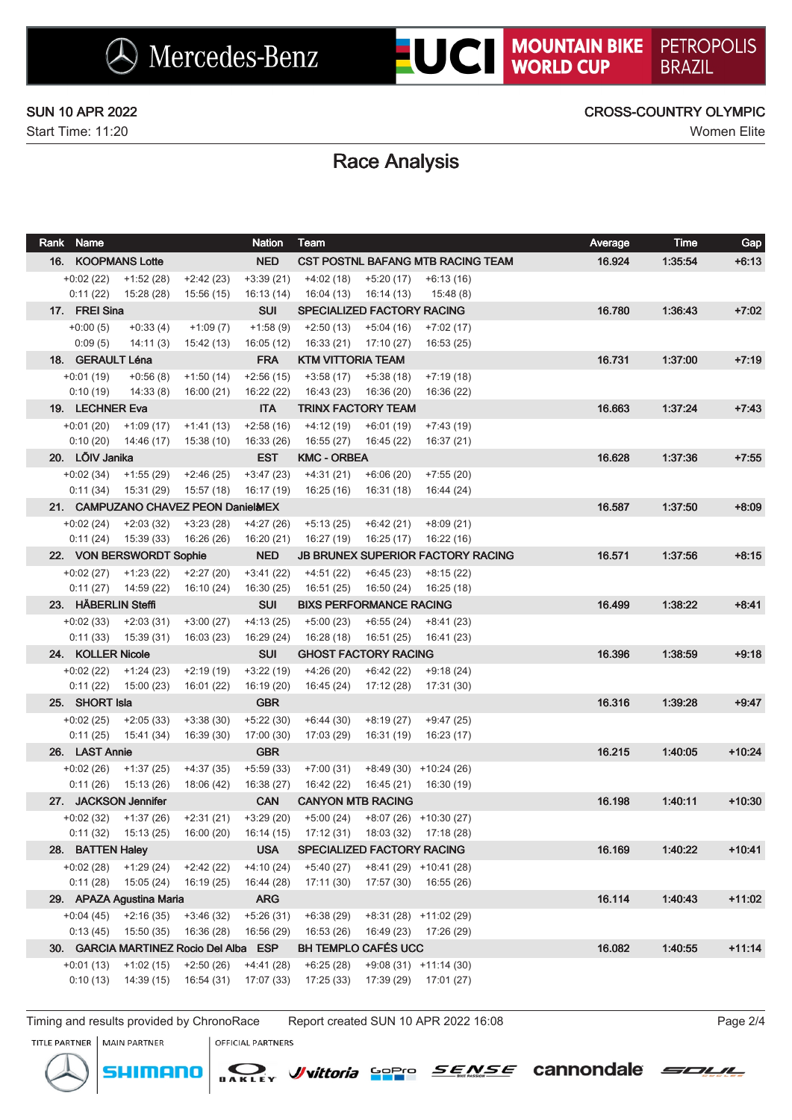### SUN 10 APR 2022 CROSS-COUNTRY OLYMPIC

## Race Analysis

| Rank Name           |                                                   |                           | <b>Nation</b>             | Team                                                   |                           |                                          | Average | <b>Time</b> | Gap      |
|---------------------|---------------------------------------------------|---------------------------|---------------------------|--------------------------------------------------------|---------------------------|------------------------------------------|---------|-------------|----------|
| 16. KOOPMANS Lotte  |                                                   |                           | <b>NED</b>                |                                                        |                           | CST POSTNL BAFANG MTB RACING TEAM        | 16.924  | 1:35:54     | $+6:13$  |
|                     | $+0.02(22)$ $+1.52(28)$                           | $+2:42(23)$               | $+3:39(21)$               | +4:02 (18)                                             | $+5:20(17)$               | $+6:13(16)$                              |         |             |          |
|                     | $0:11(22)$ 15:28 (28)                             | 15:56 (15)                | 16:13 (14)                | 16:04 (13)                                             | 16:14 (13)                | 15:48 (8)                                |         |             |          |
| 17. FREI Sina       |                                                   |                           | <b>SUI</b>                | <b>SPECIALIZED FACTORY RACING</b>                      |                           |                                          | 16.780  | 1:36:43     | $+7:02$  |
| $+0:00(5)$          | $+0:33(4)$                                        | $+1:09(7)$                | $+1:58(9)$                | +2:50 (13)                                             | +5:04 (16)                | $+7:02(17)$                              |         |             |          |
| 0:09(5)             | 14:11 (3)                                         | 15:42 (13)                | 16:05 (12)                | 16:33 (21)                                             | 17:10 (27)                | 16:53 (25)                               |         |             |          |
| 18. GERAULT Léna    |                                                   |                           | <b>FRA</b>                | <b>KTM VITTORIA TEAM</b>                               |                           |                                          | 16.731  | 1:37:00     | $+7:19$  |
| $+0:01(19)$         | +0:56 (8)                                         | $+1:50(14)$               | $+2:56(15)$               | +3:58 (17)                                             | +5:38 (18)                | $+7:19(18)$                              |         |             |          |
| 0:10(19)            |                                                   | 14:33 (8) 16:00 (21)      | 16:22 (22)                | 16:43 (23)                                             | 16:36 (20)                | 16:36 (22)                               |         |             |          |
| 19. LECHNER Eva     |                                                   |                           | <b>ITA</b>                | <b>TRINX FACTORY TEAM</b>                              |                           |                                          | 16.663  | 1.37.24     | $+7:43$  |
|                     | $+0.01(20)$ $+1.09(17)$ $+1.41(13)$               |                           | $+2:58(16)$               | $+4:12(19)$ $+6:01(19)$                                |                           | +7:43 (19)                               |         |             |          |
|                     | $0:10(20)$ 14:46 (17) 15:38 (10)                  |                           | 16:33 (26)                | 16:55 (27) 16:45 (22)                                  |                           | 16:37 (21)                               |         |             |          |
| 20. LÕIV Janika     |                                                   |                           | <b>EST</b>                | <b>KMC - ORBEA</b>                                     |                           |                                          | 16.628  | 1:37:36     | $+7:55$  |
|                     | $+0.02(34)$ $+1.55(29)$                           | $+2:46(25)$               | $+3:47(23)$               | $+4:31(21)$ $+6:06(20)$                                |                           | $+7:55(20)$                              |         |             |          |
|                     | $0:11(34)$ 15:31 (29) 15:57 (18)                  |                           | 16:17 (19)                | 16:25 (16)  16:31 (18)                                 |                           | 16:44 (24)                               |         |             |          |
|                     | 21. CAMPUZANO CHAVEZ PEON DanielMEX               |                           |                           |                                                        |                           |                                          | 16.587  | 1:37:50     | $+8:09$  |
|                     | $+0.02(24)$ $+2.03(32)$                           | +3:23 (28)                | +4:27 (26)                | $+5:13(25)$ $+6:42(21)$ $+8:09(21)$                    |                           |                                          |         |             |          |
|                     | $0:11(24)$ 15:39 (33)                             | 16:26 (26)                | 16:20 (21)                | 16:27 (19)                                             | 16:25 (17)                | 16:22 (16)                               |         |             |          |
|                     | 22. VON BERSWORDT Sophie                          |                           | <b>NED</b>                |                                                        |                           | <b>JB BRUNEX SUPERIOR FACTORY RACING</b> | 16.571  | 1:37:56     | $+8:15$  |
|                     | $+0.02(27)$ $+1.23(22)$                           | +2:27 (20)                | +3:41 (22)                | +4:51 (22)                                             | $+6:45(23)$               | +8:15 (22)                               |         |             |          |
|                     | $0:11(27)$ $14:59(22)$                            | 16:10 (24)                | 16:30 (25)                | 16:51 (25)                                             | 16:50 (24)                | 16:25 (18)                               |         |             |          |
| 23. HÄBERLIN Steffi |                                                   |                           | <b>SUI</b>                | <b>BIXS PERFORMANCE RACING</b>                         |                           |                                          | 16.499  | 1:38:22     | $+8.41$  |
|                     | $+0.02(33)$ $+2.03(31)$<br>$0:11(33)$ $15:39(31)$ | $+3:00(27)$               | $+4:13(25)$               | $+5:00(23)$<br>16:28 (18)                              | $+6:55(24)$<br>16:51 (25) | +8:41 (23)                               |         |             |          |
| 24. KOLLER Nicole   |                                                   | 16:03 (23)                | 16:29 (24)<br><b>SUI</b>  | <b>GHOST FACTORY RACING</b>                            |                           | 16:41 (23)                               | 16.396  | 1:38:59     | $+9:18$  |
|                     |                                                   |                           |                           |                                                        |                           |                                          |         |             |          |
|                     | $+0.02(22)$ $+1.24(23)$<br>$0:11(22)$ $15:00(23)$ | $+2:19(19)$<br>16:01 (22) | $+3:22(19)$<br>16:19 (20) | $+4:26(20)$ $+6:42(22)$<br>16:45 (24)                  | 17:12 (28)                | +9:18 (24)<br>17:31 (30)                 |         |             |          |
| 25. SHORT Isla      |                                                   |                           | <b>GBR</b>                |                                                        |                           |                                          | 16.316  | 1:39:28     | $+9:47$  |
|                     | $+0.02(25)$ $+2.05(33)$                           | $+3:38(30)$               | $+5:22(30)$               | +6:44 (30)                                             | +8:19 (27)                | +9:47 (25)                               |         |             |          |
|                     | $0:11(25)$ 15:41 (34)                             | 16:39 (30)                | 17:00 (30)                | 17:03 (29)                                             |                           | 16:31 (19) 16:23 (17)                    |         |             |          |
| 26. LAST Annie      |                                                   |                           | <b>GBR</b>                |                                                        |                           |                                          | 16.215  | 1:40:05     | $+10:24$ |
|                     | $+0.02(26)$ $+1.37(25)$                           | $+4:37(35)$               | $+5:59(33)$               | +7:00 (31)                                             |                           | $+8:49(30)$ $+10:24(26)$                 |         |             |          |
|                     | $0:11(26)$ 15:13 (26)                             | 18:06 (42)                | 16:38 (27)                | 16:42 (22)                                             |                           | 16:45 (21) 16:30 (19)                    |         |             |          |
|                     | 27. JACKSON Jennifer                              |                           | <b>CAN</b>                | <b>CANYON MTB RACING</b>                               |                           |                                          | 16.198  | 1:40:11     | $+10:30$ |
|                     | $+0.02(32)$ $+1.37(26)$                           | +2:31 (21)                |                           | $+3:29(20)$ $+5:00(24)$ $+8:07(26)$ $+10:30(27)$       |                           |                                          |         |             |          |
|                     | $0:11(32)$ 15:13 (25)                             |                           |                           | 16:00 (20) 16:14 (15) 17:12 (31) 18:03 (32) 17:18 (28) |                           |                                          |         |             |          |
| 28. BATTEN Haley    |                                                   |                           | <b>USA</b>                | <b>SPECIALIZED FACTORY RACING</b>                      |                           |                                          | 16.169  | 1:40:22     | $+10:41$ |
|                     | $+0.02(28)$ $+1.29(24)$                           | $+2:42(22)$               | $+4:10(24)$               | $+5:40(27)$                                            |                           | $+8:41(29)$ $+10:41(28)$                 |         |             |          |
| 0:11(28)            | 15:05 (24)                                        | 16:19 (25)                | 16:44 (28)                | 17:11 (30)                                             | 17:57 (30)                | 16:55 (26)                               |         |             |          |
|                     | 29. APAZA Agustina Maria                          |                           | <b>ARG</b>                |                                                        |                           |                                          | 16.114  | 1:40:43     | $+11:02$ |
| +0:04 (45)          | $+2:16(35)$                                       | $+3:46(32)$               | $+5:26(31)$               | $+6:38(29)$                                            |                           | $+8:31(28)$ $+11:02(29)$                 |         |             |          |
| 0:13(45)            | 15:50 (35)                                        | 16:36 (28)                | 16:56 (29)                | 16:53 (26)                                             |                           | 16:49 (23) 17:26 (29)                    |         |             |          |
|                     | 30. GARCIA MARTINEZ Rocio Del Alba ESP            |                           |                           | BH TEMPLO CAFÉS UCC                                    |                           |                                          | 16.082  | 1:40:55     | $+11:14$ |
| $+0:01(13)$         | $+1:02(15)$                                       | $+2:50(26)$               | $+4:41(28)$               | $+6:25(28)$                                            |                           | $+9:08(31)$ $+11:14(30)$                 |         |             |          |
| 0:10(13)            | 14:39(15)                                         | 16:54 (31)                | 17:07 (33)                | 17:25(33)                                              | 17:39 (29)                | 17:01 (27)                               |         |             |          |
|                     |                                                   |                           |                           |                                                        |                           |                                          |         |             |          |

Timing and results provided by ChronoRace Report created SUN 10 APR 2022 16:08 Page 2014

TITLE PARTNER MAIN PARTNER



**OFFICIAL PARTNERS** 

Wyittoria Sopro



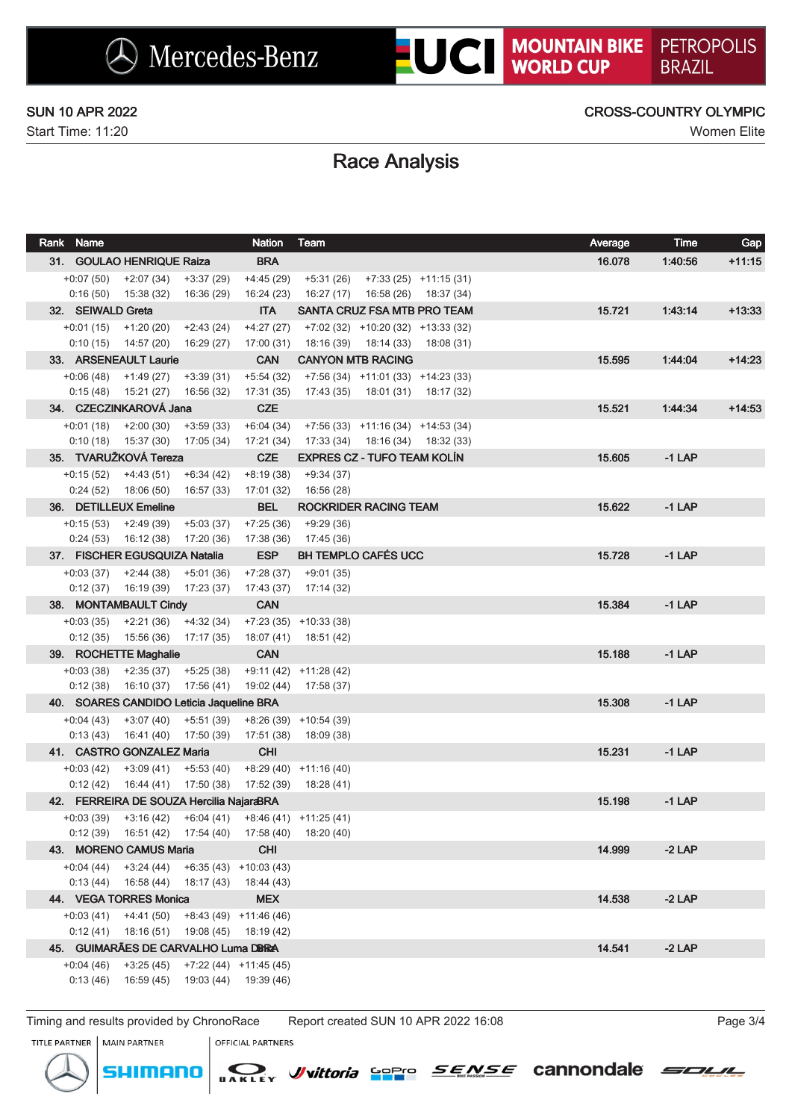## SUN 10 APR 2022 CROSS-COUNTRY OLYMPIC

## Race Analysis

| Rank Name         |                                                                         |             | <b>Nation</b>                        | Team                                              |                                       | Average | <b>Time</b> | Gap      |
|-------------------|-------------------------------------------------------------------------|-------------|--------------------------------------|---------------------------------------------------|---------------------------------------|---------|-------------|----------|
|                   | 31. GOULAO HENRIQUE Raiza                                               |             | <b>BRA</b>                           |                                                   |                                       | 16.078  | 1:40:56     | $+11:15$ |
|                   | $+0.07(50)$ $+2.07(34)$ $+3.37(29)$                                     |             | $+4:45(29)$                          |                                                   | $+5:31(26)$ $+7:33(25)$ $+11:15(31)$  |         |             |          |
|                   | $0:16(50)$ 15:38 (32) 16:36 (29)                                        |             | 16:24 (23)                           |                                                   | 16:27 (17)  16:58 (26)  18:37 (34)    |         |             |          |
| 32. SEIWALD Greta |                                                                         |             | <b>ITA</b>                           |                                                   | SANTA CRUZ FSA MTB PRO TEAM           | 15.721  | 1.43.14     | $+13:33$ |
|                   | $+0:01(15)$ $+1:20(20)$ $+2:43(24)$                                     |             | $+4:27(27)$                          |                                                   | $+7:02(32)$ $+10:20(32)$ $+13:33(32)$ |         |             |          |
|                   | $0:10(15)$ 14:57 (20) 16:29 (27)                                        |             | 17:00 (31)                           |                                                   | $18:16(39)$ $18:14(33)$ $18:08(31)$   |         |             |          |
|                   | 33. ARSENEAULT Laurie                                                   |             | <b>CAN</b>                           |                                                   | <b>CANYON MTB RACING</b>              | 15.595  | 1.44.04     | $+14:23$ |
|                   | $+0.06(48)$ $+1.49(27)$ $+3.39(31)$                                     |             | $+5:54(32)$                          |                                                   | $+7:56(34)$ $+11:01(33)$ $+14:23(33)$ |         |             |          |
|                   | $0:15(48)$ 15:21 (27) 16:56 (32)                                        |             | 17:31 (35)                           |                                                   | 17:43 (35)  18:01 (31)  18:17 (32)    |         |             |          |
|                   | 34. CZECZINKAROVA Jana                                                  |             | <b>CZE</b>                           |                                                   |                                       | 15.521  | 1.44.34     | $+14:53$ |
|                   | $+0.01(18)$ $+2.00(30)$ $+3.59(33)$                                     |             | $+6:04(34)$                          |                                                   | $+7:56(33)$ $+11:16(34)$ $+14:53(34)$ |         |             |          |
|                   | $0:10(18)$ 15:37 (30) 17:05 (34)                                        |             | 17:21 (34)                           |                                                   | 17:33 (34)  18:16 (34)  18:32 (33)    |         |             |          |
|                   | 35. TVARUŽKOVÁ Tereza                                                   |             | <b>CZE</b>                           |                                                   | <b>EXPRES CZ - TUFO TEAM KOLIN</b>    | 15.605  | $-1$ LAP    |          |
|                   | $+0:15(52)$ $+4:43(51)$ $+6:34(42)$                                     |             | $+8:19(38)$                          | $+9:34(37)$                                       |                                       |         |             |          |
|                   | $0:24(52)$ 18:06 (50) 16:57 (33)                                        |             | 17:01 (32)                           | 16:56 (28)                                        |                                       |         |             |          |
|                   | 36. DETILLEUX Emeline                                                   |             | <b>BEL</b>                           |                                                   | <b>ROCKRIDER RACING TEAM</b>          | 15.622  | $-1$ LAP    |          |
|                   | $+0.15(53)$ $+2.49(39)$                                                 | $+5:03(37)$ | $+7:25(36)$                          | $+9:29(36)$                                       |                                       |         |             |          |
|                   | $0:24(53)$ 16:12 (38) 17:20 (36)                                        |             | 17:38 (36)                           | 17:45 (36)                                        |                                       |         |             |          |
|                   | 37. FISCHER EGUSQUIZA Natalia                                           |             | <b>ESP</b>                           |                                                   | <b>BH TEMPLO CAFÉS UCC</b>            | 15.728  | $-1$ LAP    |          |
|                   | $+0.03(37)$ $+2.44(38)$                                                 | $+5:01(36)$ | $+7:28(37)$                          | $+9:01(35)$                                       |                                       |         |             |          |
|                   | $0:12(37)$ 16:19 (39) 17:23 (37)                                        |             | 17:43 (37)                           | 17:14 (32)                                        |                                       |         |             |          |
|                   | 38. MONTAMBAULT Cindy                                                   |             | <b>CAN</b>                           |                                                   |                                       | 15.384  | $-1$ LAP    |          |
|                   | $+0.03(35)$ $+2.21(36)$ $+4.32(34)$                                     |             |                                      | $+7:23(35)$ $+10:33(38)$                          |                                       |         |             |          |
|                   | $0:12(35)$ 15:56 (36)                                                   | 17:17 (35)  | 18:07 (41)<br><b>CAN</b>             | 18:51 (42)                                        |                                       |         |             |          |
|                   | 39. ROCHETTE Maghalie                                                   |             |                                      |                                                   |                                       | 15.188  | $-1$ LAP    |          |
|                   | $+0.03(38)$ $+2.35(37)$ $+5.25(38)$<br>$0:12(38)$ 16:10 (37) 17:56 (41) |             |                                      | $+9:11(42)$ $+11:28(42)$<br>19:02 (44) 17:58 (37) |                                       |         |             |          |
|                   | 40. SOARES CANDIDO Leticia Jaqueline BRA                                |             |                                      |                                                   |                                       | 15.308  | $-1$ LAP    |          |
|                   | $+0.04(43)$ $+3.07(40)$ $+5.51(39)$                                     |             |                                      | $+8:26(39)$ $+10:54(39)$                          |                                       |         |             |          |
|                   | $0:13(43)$ 16:41 (40) 17:50 (39)                                        |             | 17:51 (38)                           | 18:09 (38)                                        |                                       |         |             |          |
|                   | 41. CASTRO GONZALEZ Maria                                               |             | <b>CHI</b>                           |                                                   |                                       | 15.231  | $-1$ LAP    |          |
|                   | $+0.03(42)$ $+3.09(41)$                                                 | +5:53 (40)  |                                      | $+8:29(40)$ $+11:16(40)$                          |                                       |         |             |          |
|                   | $0:12(42)$ 16:44 (41) 17:50 (38)                                        |             | 17:52 (39)                           | 18:28 (41)                                        |                                       |         |             |          |
|                   | 42. FERREIRA DE SOUZA Hercilia NajaraBRA                                |             |                                      |                                                   |                                       | 15.198  | $-1$ LAP    |          |
|                   | $+0.03(39)$ $+3.16(42)$ $+6.04(41)$ $+8.46(41)$ $+11.25(41)$            |             |                                      |                                                   |                                       |         |             |          |
|                   | $0:12(39)$ 16:51 (42) 17:54 (40) 17:58 (40)                             |             |                                      | 18:20 (40)                                        |                                       |         |             |          |
|                   | 43. MORENO CAMUS Maria                                                  |             | <b>CHI</b>                           |                                                   |                                       | 14.999  | $-2$ LAP    |          |
|                   | $+0.04(44)$ $+3.24(44)$ $+6.35(43)$ $+10.03(43)$                        |             |                                      |                                                   |                                       |         |             |          |
|                   | $0:13(44)$ 16:58 (44) 18:17 (43) 18:44 (43)                             |             |                                      |                                                   |                                       |         |             |          |
|                   | 44. VEGA TORRES Monica                                                  |             | <b>MEX</b>                           |                                                   |                                       | 14.538  | $-2$ LAP    |          |
| $+0:03(41)$       | $+4:41(50)$                                                             |             | $+8:43(49)$ $+11:46(46)$             |                                                   |                                       |         |             |          |
|                   | $0:12(41)$ 18:16 (51) 19:08 (45) 18:19 (42)                             |             |                                      |                                                   |                                       |         |             |          |
|                   | 45. GUIMARÃES DE CARVALHO Luma DBRA                                     |             |                                      |                                                   |                                       | 14.541  | $-2$ LAP    |          |
| $+0.04(46)$       |                                                                         |             | $+3:25(45)$ $+7:22(44)$ $+11:45(45)$ |                                                   |                                       |         |             |          |
| 0:13(46)          |                                                                         |             | 16:59 (45) 19:03 (44) 19:39 (46)     |                                                   |                                       |         |             |          |
|                   |                                                                         |             |                                      |                                                   |                                       |         |             |          |

Timing and results provided by ChronoRace Report created SUN 10 APR 2022 16:08 Page 3/4

Wyittoria Sopro

SOLIL

*SENSE* cannondale

TITLE PARTNER MAIN PARTNER **OFFICIAL PARTNERS** 

meno